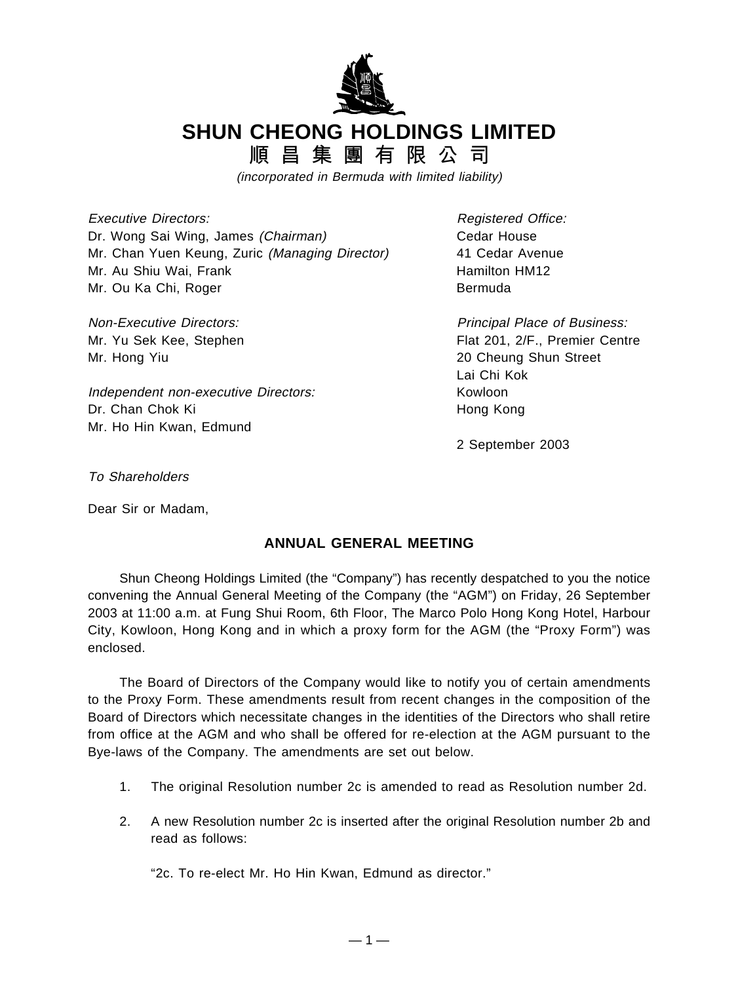

**SHUN CHEONG HOLDINGS LIMITED**

順 昌 集 團 有 限 公 司

(incorporated in Bermuda with limited liability)

Executive Directors: Registered Office: Dr. Wong Sai Wing, James (Chairman) Cedar House Mr. Chan Yuen Keung, Zuric (Managing Director) 41 Cedar Avenue Mr. Au Shiu Wai, Frank Hamilton HM12 Mr. Ou Ka Chi, Roger Bermuda

Mr. Hong Yiu 20 Cheung Shun Street

Independent non-executive Directors: Kowloon Dr. Chan Chok Ki **Hong Kong** Mr. Ho Hin Kwan, Edmund

Non-Executive Directors: Non-Executive Directors: Principal Place of Business: Mr. Yu Sek Kee, Stephen Flat 201, 2/F., Premier Centre Lai Chi Kok

2 September 2003

To Shareholders

Dear Sir or Madam,

## **ANNUAL GENERAL MEETING**

Shun Cheong Holdings Limited (the "Company") has recently despatched to you the notice convening the Annual General Meeting of the Company (the "AGM") on Friday, 26 September 2003 at 11:00 a.m. at Fung Shui Room, 6th Floor, The Marco Polo Hong Kong Hotel, Harbour City, Kowloon, Hong Kong and in which a proxy form for the AGM (the "Proxy Form") was enclosed.

The Board of Directors of the Company would like to notify you of certain amendments to the Proxy Form. These amendments result from recent changes in the composition of the Board of Directors which necessitate changes in the identities of the Directors who shall retire from office at the AGM and who shall be offered for re-election at the AGM pursuant to the Bye-laws of the Company. The amendments are set out below.

- 1. The original Resolution number 2c is amended to read as Resolution number 2d.
- 2. A new Resolution number 2c is inserted after the original Resolution number 2b and read as follows:

"2c. To re-elect Mr. Ho Hin Kwan, Edmund as director."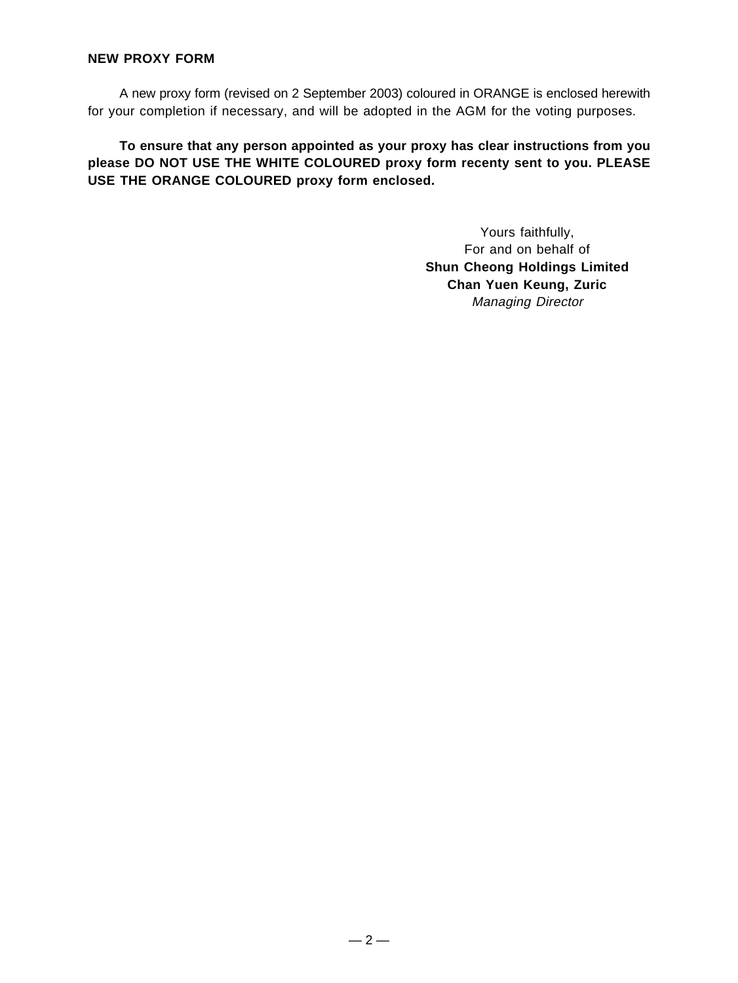## **NEW PROXY FORM**

A new proxy form (revised on 2 September 2003) coloured in ORANGE is enclosed herewith for your completion if necessary, and will be adopted in the AGM for the voting purposes.

**To ensure that any person appointed as your proxy has clear instructions from you please DO NOT USE THE WHITE COLOURED proxy form recenty sent to you. PLEASE USE THE ORANGE COLOURED proxy form enclosed.**

> Yours faithfully, For and on behalf of **Shun Cheong Holdings Limited Chan Yuen Keung, Zuric** Managing Director